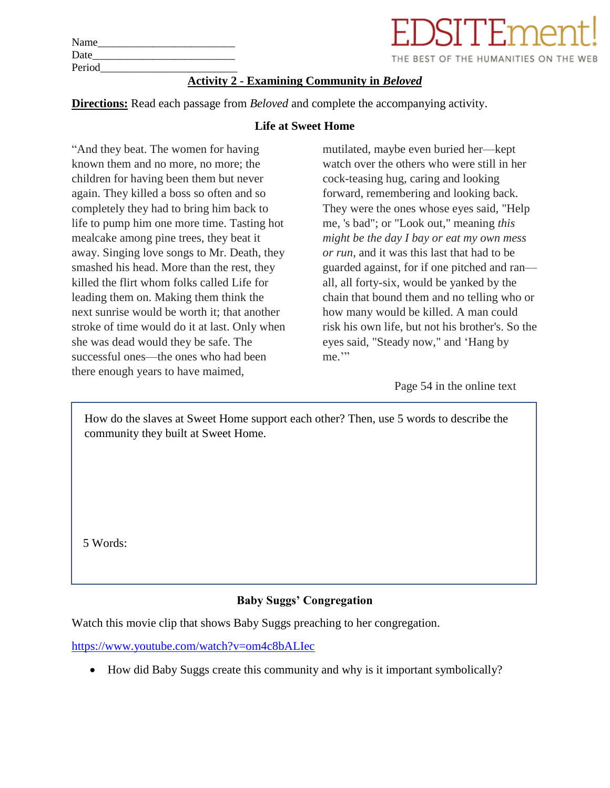| <b>Activity 2 - Examining Community in Beloved</b> |
|----------------------------------------------------|
|                                                    |
| THE BE                                             |
|                                                    |
|                                                    |

**Directions:** Read each passage from *Beloved* and complete the accompanying activity.

#### **Life at Sweet Home**

"And they beat. The women for having known them and no more, no more; the children for having been them but never again. They killed a boss so often and so completely they had to bring him back to life to pump him one more time. Tasting hot mealcake among pine trees, they beat it away. Singing love songs to Mr. Death, they smashed his head. More than the rest, they killed the flirt whom folks called Life for leading them on. Making them think the next sunrise would be worth it; that another stroke of time would do it at last. Only when she was dead would they be safe. The successful ones—the ones who had been there enough years to have maimed,

mutilated, maybe even buried her—kept watch over the others who were still in her cock-teasing hug, caring and looking forward, remembering and looking back. They were the ones whose eyes said, "Help me, 's bad"; or "Look out," meaning *this might be the day I bay or eat my own mess or run*, and it was this last that had to be guarded against, for if one pitched and ran all, all forty-six, would be yanked by the chain that bound them and no telling who or how many would be killed. A man could risk his own life, but not his brother's. So the eyes said, "Steady now," and 'Hang by me."

THE BEST OF THE HUMANITIES ON THE WEB

Page 54 in the online text

How do the slaves at Sweet Home support each other? Then, use 5 words to describe the community they built at Sweet Home.

5 Words:

# **Baby Suggs' Congregation**

Watch this movie clip that shows Baby Suggs preaching to her congregation.

<https://www.youtube.com/watch?v=om4c8bALIec>

• How did Baby Suggs create this community and why is it important symbolically?